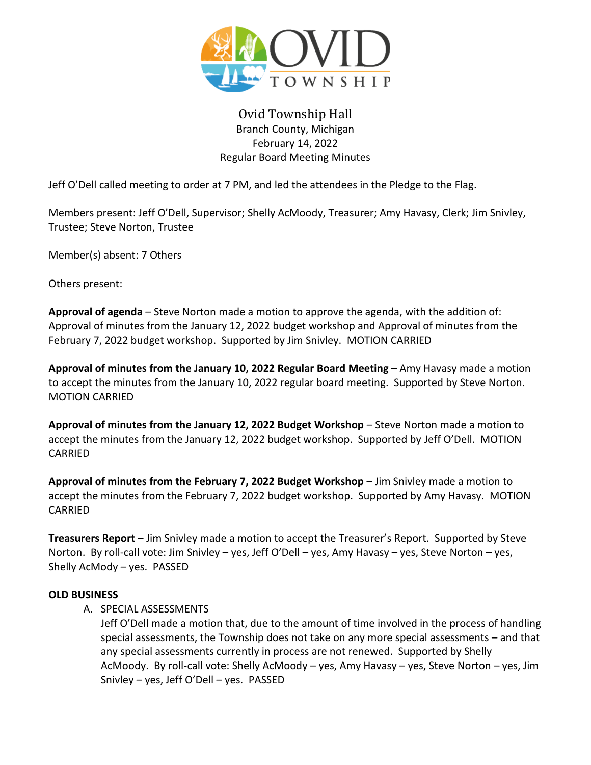

# Ovid Township Hall Branch County, Michigan February 14, 2022 Regular Board Meeting Minutes

Jeff O'Dell called meeting to order at 7 PM, and led the attendees in the Pledge to the Flag.

Members present: Jeff O'Dell, Supervisor; Shelly AcMoody, Treasurer; Amy Havasy, Clerk; Jim Snivley, Trustee; Steve Norton, Trustee

Member(s) absent: 7 Others

Others present:

**Approval of agenda** – Steve Norton made a motion to approve the agenda, with the addition of: Approval of minutes from the January 12, 2022 budget workshop and Approval of minutes from the February 7, 2022 budget workshop. Supported by Jim Snivley. MOTION CARRIED

**Approval of minutes from the January 10, 2022 Regular Board Meeting** – Amy Havasy made a motion to accept the minutes from the January 10, 2022 regular board meeting. Supported by Steve Norton. MOTION CARRIED

**Approval of minutes from the January 12, 2022 Budget Workshop** – Steve Norton made a motion to accept the minutes from the January 12, 2022 budget workshop. Supported by Jeff O'Dell. MOTION CARRIED

**Approval of minutes from the February 7, 2022 Budget Workshop** – Jim Snivley made a motion to accept the minutes from the February 7, 2022 budget workshop. Supported by Amy Havasy. MOTION CARRIED

**Treasurers Report** – Jim Snivley made a motion to accept the Treasurer's Report. Supported by Steve Norton. By roll-call vote: Jim Snivley – yes, Jeff O'Dell – yes, Amy Havasy – yes, Steve Norton – yes, Shelly AcMody – yes. PASSED

## **OLD BUSINESS**

A. SPECIAL ASSESSMENTS

Jeff O'Dell made a motion that, due to the amount of time involved in the process of handling special assessments, the Township does not take on any more special assessments – and that any special assessments currently in process are not renewed. Supported by Shelly AcMoody. By roll-call vote: Shelly AcMoody – yes, Amy Havasy – yes, Steve Norton – yes, Jim Snivley – yes, Jeff O'Dell – yes. PASSED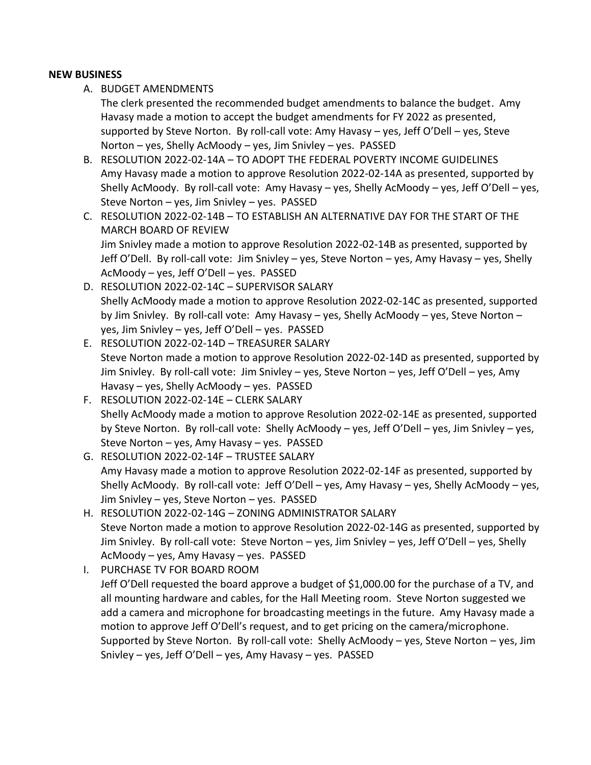#### **NEW BUSINESS**

A. BUDGET AMENDMENTS

The clerk presented the recommended budget amendments to balance the budget. Amy Havasy made a motion to accept the budget amendments for FY 2022 as presented, supported by Steve Norton. By roll-call vote: Amy Havasy – yes, Jeff O'Dell – yes, Steve Norton – yes, Shelly AcMoody – yes, Jim Snivley – yes. PASSED

- B. RESOLUTION 2022-02-14A TO ADOPT THE FEDERAL POVERTY INCOME GUIDELINES Amy Havasy made a motion to approve Resolution 2022-02-14A as presented, supported by Shelly AcMoody. By roll-call vote: Amy Havasy – yes, Shelly AcMoody – yes, Jeff O'Dell – yes, Steve Norton – yes, Jim Snivley – yes. PASSED
- C. RESOLUTION 2022-02-14B TO ESTABLISH AN ALTERNATIVE DAY FOR THE START OF THE MARCH BOARD OF REVIEW Jim Snivley made a motion to approve Resolution 2022-02-14B as presented, supported by Jeff O'Dell. By roll-call vote: Jim Snivley – yes, Steve Norton – yes, Amy Havasy – yes, Shelly

AcMoody – yes, Jeff O'Dell – yes. PASSED D. RESOLUTION 2022-02-14C – SUPERVISOR SALARY Shelly AcMoody made a motion to approve Resolution 2022-02-14C as presented, supported by Jim Snivley. By roll-call vote: Amy Havasy – yes, Shelly AcMoody – yes, Steve Norton –

yes, Jim Snivley – yes, Jeff O'Dell – yes. PASSED

- E. RESOLUTION 2022-02-14D TREASURER SALARY Steve Norton made a motion to approve Resolution 2022-02-14D as presented, supported by Jim Snivley. By roll-call vote: Jim Snivley – yes, Steve Norton – yes, Jeff O'Dell – yes, Amy Havasy – yes, Shelly AcMoody – yes. PASSED
- F. RESOLUTION 2022-02-14E CLERK SALARY Shelly AcMoody made a motion to approve Resolution 2022-02-14E as presented, supported by Steve Norton. By roll-call vote: Shelly AcMoody – yes, Jeff O'Dell – yes, Jim Snivley – yes, Steve Norton – yes, Amy Havasy – yes. PASSED
- G. RESOLUTION 2022-02-14F TRUSTEE SALARY Amy Havasy made a motion to approve Resolution 2022-02-14F as presented, supported by Shelly AcMoody. By roll-call vote: Jeff O'Dell – yes, Amy Havasy – yes, Shelly AcMoody – yes, Jim Snivley – yes, Steve Norton – yes. PASSED
- H. RESOLUTION 2022-02-14G ZONING ADMINISTRATOR SALARY Steve Norton made a motion to approve Resolution 2022-02-14G as presented, supported by Jim Snivley. By roll-call vote: Steve Norton – yes, Jim Snivley – yes, Jeff O'Dell – yes, Shelly AcMoody – yes, Amy Havasy – yes. PASSED
- I. PURCHASE TV FOR BOARD ROOM Jeff O'Dell requested the board approve a budget of \$1,000.00 for the purchase of a TV, and all mounting hardware and cables, for the Hall Meeting room. Steve Norton suggested we add a camera and microphone for broadcasting meetings in the future. Amy Havasy made a motion to approve Jeff O'Dell's request, and to get pricing on the camera/microphone. Supported by Steve Norton. By roll-call vote: Shelly AcMoody – yes, Steve Norton – yes, Jim Snivley – yes, Jeff O'Dell – yes, Amy Havasy – yes. PASSED